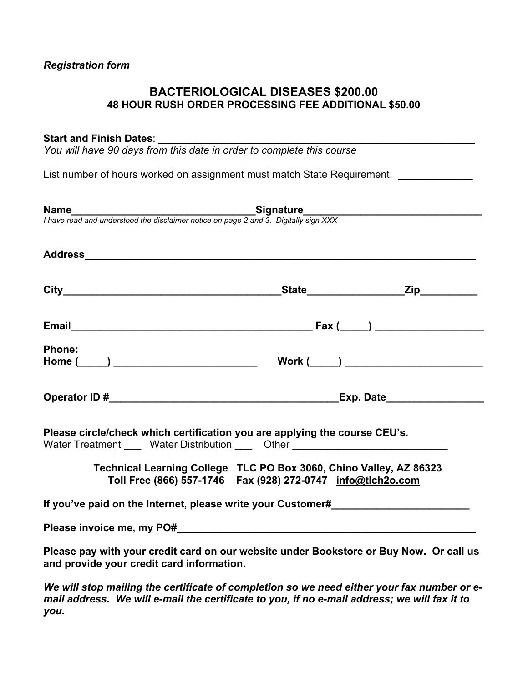# *Registration form*

# **BACTERIOLOGICAL DISEASES \$200.00 48 HOUR RUSH ORDER PROCESSING FEE ADDITIONAL \$50.00**

## Start and Finish Dates:

*You will have 90 days from this date in order to complete this course* 

List number of hours worked on assignment must match State Requirement. *\_\_\_\_\_\_\_\_\_\_\_\_* 

| <b>Name</b><br>I have read and understood the disclaimer notice on page 2 and 3. Digitally sign XXX                                                            |  |
|----------------------------------------------------------------------------------------------------------------------------------------------------------------|--|
|                                                                                                                                                                |  |
|                                                                                                                                                                |  |
|                                                                                                                                                                |  |
| <b>Phone:</b>                                                                                                                                                  |  |
|                                                                                                                                                                |  |
| Please circle/check which certification you are applying the course CEU's.<br>Water Treatment _____ Water Distribution _____ Other ___________________________ |  |
| Technical Learning College TLC PO Box 3060, Chino Valley, AZ 86323<br>Toll Free (866) 557-1746    Fax (928) 272-0747    info@tlch2o.com                        |  |
| If you've paid on the Internet, please write your Customer#                                                                                                    |  |
|                                                                                                                                                                |  |
| Please pay with your credit card on our website under Bookstore or Buy Now. Or call us<br>and provide your credit card information.                            |  |

*We will stop mailing the certificate of completion so we need either your fax number or email address. We will e-mail the certificate to you, if no e-mail address; we will fax it to you.*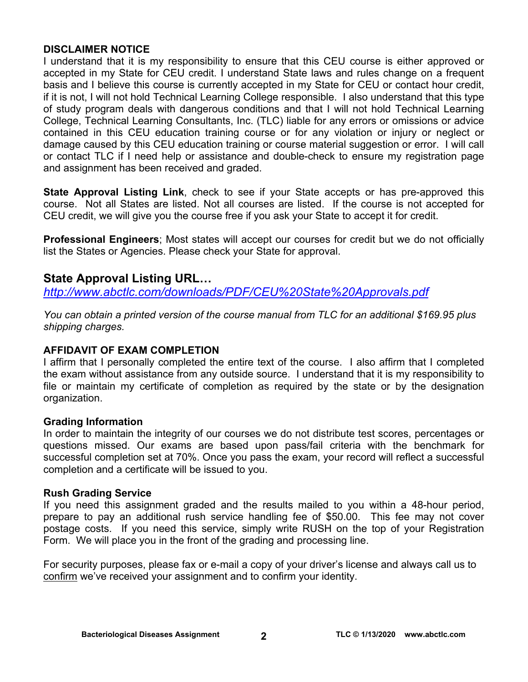# **DISCLAIMER NOTICE**

I understand that it is my responsibility to ensure that this CEU course is either approved or accepted in my State for CEU credit. I understand State laws and rules change on a frequent basis and I believe this course is currently accepted in my State for CEU or contact hour credit, if it is not, I will not hold Technical Learning College responsible. I also understand that this type of study program deals with dangerous conditions and that I will not hold Technical Learning College, Technical Learning Consultants, Inc. (TLC) liable for any errors or omissions or advice contained in this CEU education training course or for any violation or injury or neglect or damage caused by this CEU education training or course material suggestion or error. I will call or contact TLC if I need help or assistance and double-check to ensure my registration page and assignment has been received and graded.

**State Approval Listing Link**, check to see if your State accepts or has pre-approved this course. Not all States are listed. Not all courses are listed. If the course is not accepted for CEU credit, we will give you the course free if you ask your State to accept it for credit.

**Professional Engineers**; Most states will accept our courses for credit but we do not officially list the States or Agencies. Please check your State for approval.

# **State Approval Listing URL…**

*<http://www.abctlc.com/downloads/PDF/CEU%20State%20Approvals.pdf>*

*You can obtain a printed version of the course manual from TLC for an additional \$169.95 plus shipping charges.* 

# **AFFIDAVIT OF EXAM COMPLETION**

I affirm that I personally completed the entire text of the course. I also affirm that I completed the exam without assistance from any outside source. I understand that it is my responsibility to file or maintain my certificate of completion as required by the state or by the designation organization.

# **Grading Information**

In order to maintain the integrity of our courses we do not distribute test scores, percentages or questions missed. Our exams are based upon pass/fail criteria with the benchmark for successful completion set at 70%. Once you pass the exam, your record will reflect a successful completion and a certificate will be issued to you.

# **Rush Grading Service**

If you need this assignment graded and the results mailed to you within a 48-hour period, prepare to pay an additional rush service handling fee of \$50.00. This fee may not cover postage costs. If you need this service, simply write RUSH on the top of your Registration Form. We will place you in the front of the grading and processing line.

For security purposes, please fax or e-mail a copy of your driver's license and always call us to confirm we've received your assignment and to confirm your identity.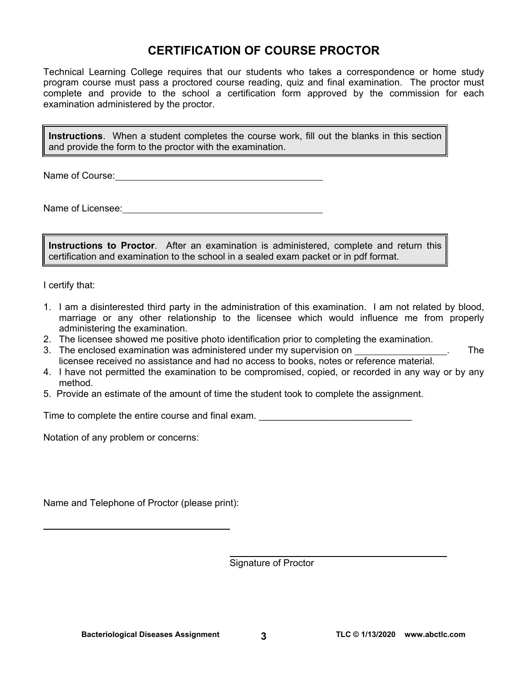# **CERTIFICATION OF COURSE PROCTOR**

Technical Learning College requires that our students who takes a correspondence or home study program course must pass a proctored course reading, quiz and final examination. The proctor must complete and provide to the school a certification form approved by the commission for each examination administered by the proctor.

**Instructions**. When a student completes the course work, fill out the blanks in this section and provide the form to the proctor with the examination.

Name of Course: **Name of Course:** 

Name of Licensee:

**Instructions to Proctor**. After an examination is administered, complete and return this certification and examination to the school in a sealed exam packet or in pdf format.

I certify that:

 $\overline{a}$ 

- 1. I am a disinterested third party in the administration of this examination. I am not related by blood, marriage or any other relationship to the licensee which would influence me from properly administering the examination.
- 2. The licensee showed me positive photo identification prior to completing the examination.
- 3. The enclosed examination was administered under my supervision on \_\_\_\_\_\_\_\_\_\_\_\_\_\_\_\_\_. The licensee received no assistance and had no access to books, notes or reference material.
- 4. I have not permitted the examination to be compromised, copied, or recorded in any way or by any method.
- 5. Provide an estimate of the amount of time the student took to complete the assignment.

Time to complete the entire course and final exam.

Notation of any problem or concerns:

Name and Telephone of Proctor (please print):

Signature of Proctor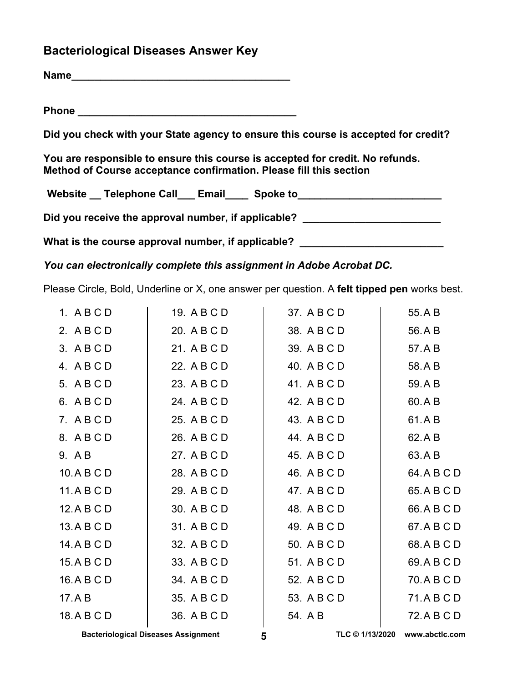# **Bacteriological Diseases Answer Key**

| Name |  |  |  |  |  |  |  |  |  |
|------|--|--|--|--|--|--|--|--|--|
|      |  |  |  |  |  |  |  |  |  |

**Phone \_\_\_\_\_\_\_\_\_\_\_\_\_\_\_\_\_\_\_\_\_\_\_\_\_\_\_\_\_\_\_\_\_\_\_\_\_\_** 

**Did you check with your State agency to ensure this course is accepted for credit?** 

**You are responsible to ensure this course is accepted for credit. No refunds. Method of Course acceptance confirmation. Please fill this section** 

Website Telephone Call Email Spoke to Website Telephone Call Email Spoke to

Did you receive the approval number, if applicable? **Did you receive the approval number**, if applicable?

What is the course approval number, if applicable?

*You can electronically complete this assignment in Adobe Acrobat DC.* 

Please Circle, Bold, Underline or X, one answer per question. A **felt tipped pen** works best.

| 1. ABCD     | 19. A B C D | 37. A B C D | 55.AB       |
|-------------|-------------|-------------|-------------|
| 2. ABCD     | 20. A B C D | 38. A B C D | 56.AB       |
| 3. ABCD     | 21. A B C D | 39. A B C D | 57.AB       |
| 4. ABCD     | 22. A B C D | 40. A B C D | 58.AB       |
| 5. ABCD     | 23. A B C D | 41. A B C D | 59.AB       |
| 6. ABCD     | 24. A B C D | 42. A B C D | 60.AB       |
| 7. ABCD     | 25. A B C D | 43. A B C D | 61.AB       |
| 8. ABCD     | 26. A B C D | 44. A B C D | 62.AB       |
| 9. A B      | 27. A B C D | 45. A B C D | 63.AB       |
| 10.ABCD     | 28. A B C D | 46. A B C D | 64. A B C D |
| 11.ABCD     | 29. A B C D | 47. A B C D | 65.ABCD     |
| 12.A B C D  | 30. A B C D | 48. A B C D | 66.ABCD     |
| 13.A B C D  | 31. A B C D | 49. A B C D | 67.ABCD     |
| 14. A B C D | 32. A B C D | 50. A B C D | 68.ABCD     |
| 15.A B C D  | 33. A B C D | 51. A B C D | 69.ABCD     |
| 16.ABCD     | 34. A B C D | 52. A B C D | 70. A B C D |
| 17.AB       | 35. A B C D | 53. A B C D | 71.ABCD     |
| 18.ABCD     | 36. A B C D | 54. A B     | 72. A B C D |

**Bacteriological Diseases Assignment TLC © 1/13/2020 5 [www.abctlc.com](http://www.abctlc.com)**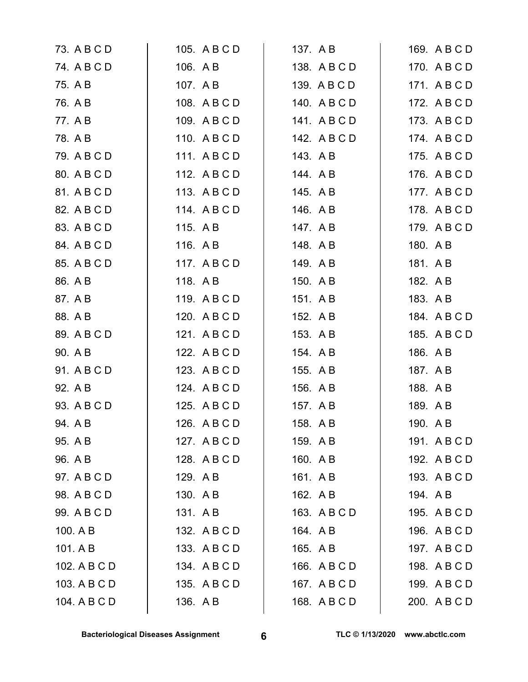| 73. A B C D  | 105. A B C D | 137. A B     | 169. A B C D |
|--------------|--------------|--------------|--------------|
| 74. A B C D  | 106. A B     | 138. A B C D | 170. A B C D |
| 75. A B      | 107. A B     | 139. A B C D | 171. ABCD    |
| 76. A B      | 108. A B C D | 140. A B C D | 172. A B C D |
| 77. A B      | 109. A B C D | 141. ABCD    | 173. A B C D |
| 78. A B      | 110. ABCD    | 142. A B C D | 174. ABCD    |
| 79. A B C D  | 111. ABCD    | 143. A B     | 175. A B C D |
| 80. A B C D  | 112. ABCD    | 144. A B     | 176. A B C D |
| 81. A B C D  | 113. ABCD    | 145. A B     | 177. A B C D |
| 82. A B C D  | 114. ABCD    | 146. A B     | 178. A B C D |
| 83. A B C D  | 115. A B     | 147. AB      | 179. ABCD    |
| 84. A B C D  | 116. A B     | 148. A B     | 180. A B     |
| 85. A B C D  | 117. ABCD    | 149. A B     | 181. A B     |
| 86. A B      | 118. AB      | 150. A B     | 182. A B     |
| 87. A B      | 119. ABCD    | 151. A B     | 183. A B     |
| 88. A B      | 120. A B C D | 152. A B     | 184. A B C D |
| 89. A B C D  | 121. ABCD    | 153. A B     | 185. A B C D |
| 90. A B      | 122. A B C D | 154. AB      | 186. A B     |
| 91. A B C D  | 123. A B C D | 155. A B     | 187. A B     |
| 92. A B      | 124. A B C D | 156. A B     | 188. AB      |
| 93. A B C D  | 125. A B C D | 157. AB      | 189. AB      |
| 94. A B      | 126. A B C D | 158. AB      | 190. AB      |
| 95. A B      | 127. A B C D | 159. A B     | 191. ABCD    |
| 96. A B      | 128. A B C D | 160. AB      | 192. A B C D |
| 97. A B C D  | 129. AB      | 161. AB      | 193. A B C D |
| 98. A B C D  | 130. AB      | 162. A B     | 194. AB      |
| 99. A B C D  | 131. AB      | 163. A B C D | 195. A B C D |
| 100. A B     | 132. A B C D | 164. A B     | 196. A B C D |
| 101. A B     | 133. A B C D | 165. A B     | 197. A B C D |
| 102. A B C D | 134. A B C D | 166. A B C D | 198. A B C D |
| 103. A B C D | 135. A B C D | 167. A B C D | 199. A B C D |
| 104. A B C D | 136. A B     | 168. A B C D | 200. A B C D |
|              |              |              |              |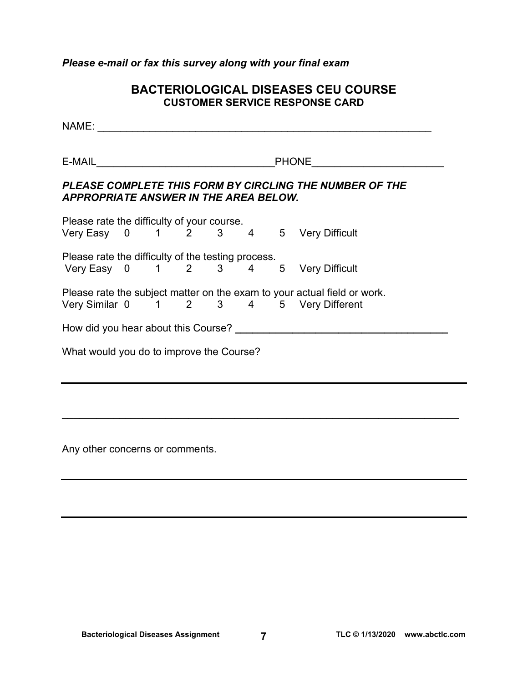## *Please e-mail or fax this survey along with your final exam*

# **BACTERIOLOGICAL DISEASES CEU COURSE CUSTOMER SERVICE RESPONSE CARD**

NAME: \_\_\_\_\_\_\_\_\_\_\_\_\_\_\_\_\_\_\_\_\_\_\_\_\_\_\_\_\_\_\_\_\_\_\_\_\_\_\_\_\_\_\_\_\_\_\_\_\_\_\_\_\_\_\_\_\_\_ E-MAIL **E-MAIL E-MAIL** *PLEASE COMPLETE THIS FORM BY CIRCLING THE NUMBER OF THE APPROPRIATE ANSWER IN THE AREA BELOW.*  Please rate the difficulty of your course. Very Easy 0 1 2 3 4 5 Very Difficult Please rate the difficulty of the testing process. Very Easy 0 1 2 3 4 5 Very Difficult Please rate the subject matter on the exam to your actual field or work. Very Similar 0 1 2 3 4 5 Very Different How did you hear about this Course? **\_\_\_\_\_\_\_\_\_\_\_\_\_\_\_\_\_\_\_\_\_\_\_\_\_\_\_\_\_\_\_\_\_\_\_\_\_**  What would you do to improve the Course?

 $\mathcal{L}_\mathcal{L} = \mathcal{L}_\mathcal{L} = \mathcal{L}_\mathcal{L} = \mathcal{L}_\mathcal{L} = \mathcal{L}_\mathcal{L} = \mathcal{L}_\mathcal{L} = \mathcal{L}_\mathcal{L} = \mathcal{L}_\mathcal{L} = \mathcal{L}_\mathcal{L} = \mathcal{L}_\mathcal{L} = \mathcal{L}_\mathcal{L} = \mathcal{L}_\mathcal{L} = \mathcal{L}_\mathcal{L} = \mathcal{L}_\mathcal{L} = \mathcal{L}_\mathcal{L} = \mathcal{L}_\mathcal{L} = \mathcal{L}_\mathcal{L}$ 

Any other concerns or comments.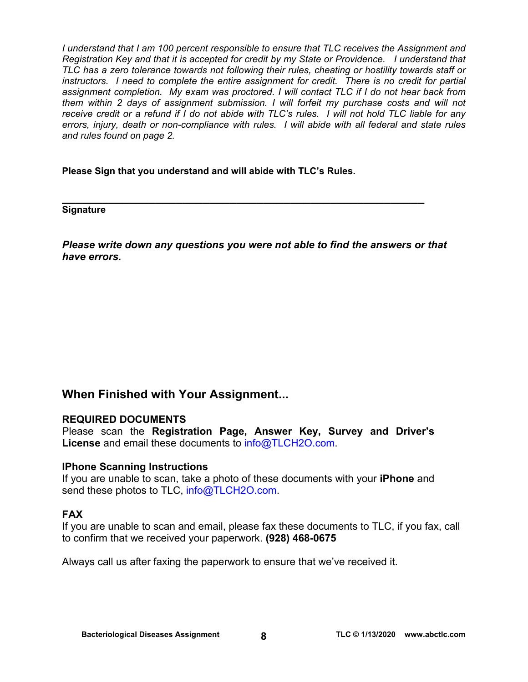*I understand that I am 100 percent responsible to ensure that TLC receives the Assignment and Registration Key and that it is accepted for credit by my State or Providence. I understand that TLC has a zero tolerance towards not following their rules, cheating or hostility towards staff or*  instructors. I need to complete the entire assignment for credit. There is no credit for partial *assignment completion. My exam was proctored. I will contact TLC if I do not hear back from them within 2 days of assignment submission. I will forfeit my purchase costs and will not receive credit or a refund if I do not abide with TLC's rules. I will not hold TLC liable for any errors, injury, death or non-compliance with rules. I will abide with all federal and state rules and rules found on page 2.* 

**Please Sign that you understand and will abide with TLC's Rules.** 

**\_\_\_\_\_\_\_\_\_\_\_\_\_\_\_\_\_\_\_\_\_\_\_\_\_\_\_\_\_\_\_\_\_\_\_\_\_\_\_\_\_\_\_\_\_\_\_\_\_\_\_\_\_\_ Signature** 

*Please write down any questions you were not able to find the answers or that have errors.* 

# **When Finished with Your Assignment...**

# **REQUIRED DOCUMENTS**

Please scan the **Registration Page, Answer Key, Survey and Driver's License** and email these documents to [info@TLCH2O.com.](mailto:info@TLCH2O.com) 

### **IPhone Scanning Instructions**

If you are unable to scan, take a photo of these documents with your **iPhone** and send these photos to TLC, info@TLCH2O.com.

# **FAX**

If you are unable to scan and email, please fax these documents to TLC, if you fax, call to confirm that we received your paperwork. **(928) 468-0675** 

Always call us after faxing the paperwork to ensure that we've received it.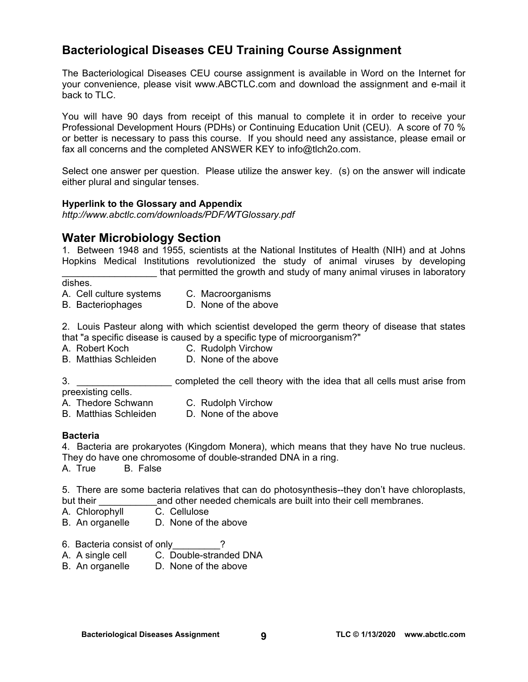# **Bacteriological Diseases CEU Training Course Assignment**

The Bacteriological Diseases CEU course assignment is available in Word on the Internet for your convenience, please visit [www.ABCTLC.com an](http://www.ABCTLC.com)d download the assignment and e-mail it back to TLC.

You will have 90 days from receipt of this manual to complete it in order to receive your Professional Development Hours (PDHs) or Continuing Education Unit (CEU). A score of 70 % or better is necessary to pass this course. If you should need any assistance, please email or fax all concerns and the completed ANSWER KEY to [info@tlch2o.com.](mailto:info@tlch2o.com) 

Select one answer per question. Please utilize the answer key. (s) on the answer will indicate either plural and singular tenses.

#### **Hyperlink to the Glossary and Appendix**

*<http://www.abctlc.com/downloads/PDF/WTGlossary.pdf>*

# **Water Microbiology Section**

1. Between 1948 and 1955, scientists at the National Institutes of Health (NIH) and at Johns Hopkins Medical Institutions revolutionized the study of animal viruses by developing that permitted the growth and study of many animal viruses in laboratory

#### dishes.

- A. Cell culture systems C. Macroorganisms
- B. Bacteriophages D. None of the above

2. Louis Pasteur along with which scientist developed the germ theory of disease that states that "a specific disease is caused by a specific type of microorganism?"

- A. Robert Koch C. Rudolph Virchow
- B. Matthias Schleiden D. None of the above

3. **Examplemed the cell theory with the idea that all cells must arise from** preexisting cells.

- 
- A. Thedore Schwann C. Rudolph Virchow
- B. Matthias Schleiden D. None of the above
	-

#### **Bacteria**

- 4. Bacteria are prokaryotes (Kingdom Monera), which means that they have No true nucleus. They do have one chromosome of double-stranded DNA in a ring.
- A. True B. False

5. There are some bacteria relatives that can do photosynthesis--they don't have chloroplasts, but their \_\_\_\_\_\_\_\_\_\_\_and other needed chemicals are built into their cell membranes.

- A. Chlorophyll C. Cellulose
- B. An organelle D. None of the above
- 6. Bacteria consist of only 2
- A. A single cell C. Double-stranded DNA
- B. An organelle D. None of the above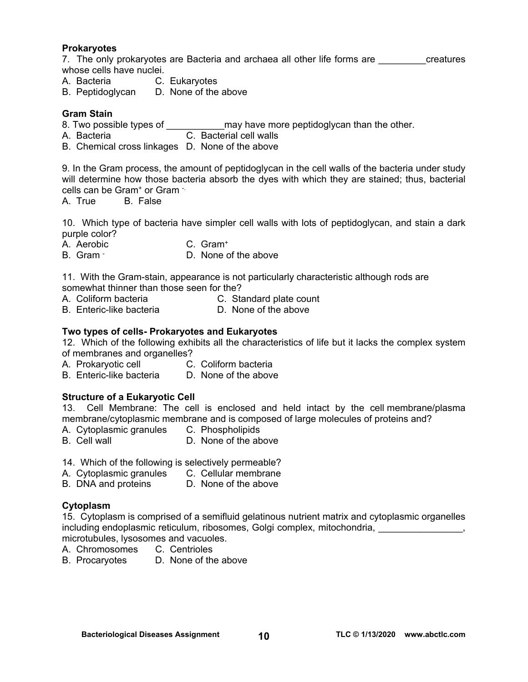#### **Prokaryotes**

7. The only prokaryotes are Bacteria and archaea all other life forms are exacuter creatures whose cells have nuclei.

- A. Bacteria C. Eukaryotes
- B. Peptidoglycan D. None of the above

## **Gram Stain**

- 8. Two possible types of electromary have more peptidoglycan than the other.
- A. Bacteria C. Bacterial cell walls
- B. Chemical cross linkages D. None of the above

9. In the Gram process, the amount of peptidoglycan in the cell walls of the bacteria under study will determine how those bacteria absorb the dyes with which they are stained; thus, bacterial cells can be Gram<sup>+</sup> or Gram -

A. True B. False

10. Which type of bacteria have simpler cell walls with lots of peptidoglycan, and stain a dark purple color?

- A. Aerobic C. Gram+
- B. Gram D. None of the above

11. With the Gram-stain, appearance is not particularly characteristic although rods are somewhat thinner than those seen for the?

- A. Coliform bacteria C. Standard plate count
- B. Enteric-like bacteria **D.** None of the above

#### **Two types of cells- Prokaryotes and Eukaryotes**

12. Which of the following exhibits all the characteristics of life but it lacks the complex system of membranes and organelles?

- A. Prokaryotic cell
- B. Enteric-like bacteria D. None of the above

### **Structure of a Eukaryotic Cell**

13. Cell Membrane: The cell is enclosed and held intact by the cell membrane/plasma membrane/cytoplasmic membrane and is composed of large molecules of proteins and?

- A. Cytoplasmic granules C. Phospholipids<br>B. Cell wall **B.** D. None of the ab
- D. None of the above

14. Which of the following is selectively permeable?

- A. Cytoplasmic granules C. Cellular membrane
- B. DNA and proteins D. None of the above

### **Cytoplasm**

15. Cytoplasm is comprised of a semifluid gelatinous nutrient matrix and cytoplasmic organelles including endoplasmic reticulum, ribosomes, Golgi complex, mitochondria, \_\_\_\_\_\_\_\_\_\_\_\_\_\_,

- microtubules, lysosomes and vacuoles. A. Chromosomes C. Centrioles
- B. Procaryotes D. None of the above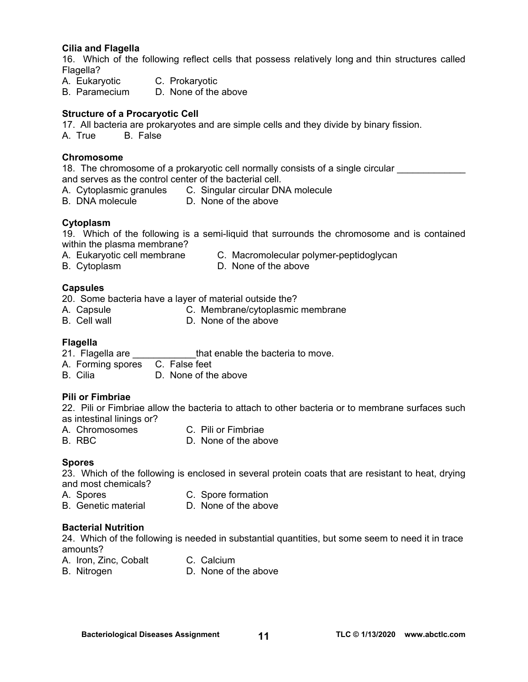#### **Cilia and Flagella**

16. Which of the following reflect cells that possess relatively long and thin structures called Flagella?

- A. Eukaryotic C. Prokaryotic
- B. Paramecium D. None of the above

#### **Structure of a Procaryotic Cell**

17. All bacteria are prokaryotes and are simple cells and they divide by binary fission.

A. True B. False

#### **Chromosome**

18. The chromosome of a prokaryotic cell normally consists of a single circular  $\Box$ and serves as the control center of the bacterial cell.

- A. Cytoplasmic granules C. Singular circular DNA molecule
- B. DNA molecule D. None of the above

## **Cytoplasm**

19. Which of the following is a semi-liquid that surrounds the chromosome and is contained within the plasma membrane?

- A. Eukaryotic cell membrane C. Macromolecular polymer-peptidoglycan
	-
- 
- B. Cytoplasm D. None of the above

#### **Capsules**

20. Some bacteria have a layer of material outside the?

- A. Capsule C. Membrane/cytoplasmic membrane
- 
- B. Cell wall **D.** None of the above

#### **Flagella**

21. Flagella are **that enable the bacteria to move.** 

- A. Forming spores C. False feet
- B. Cilia D. None of the above

## **Pili or Fimbriae**

22. Pili or Fimbriae allow the bacteria to attach to other bacteria or to membrane surfaces such as intestinal linings or?

- 
- 
- 
- A. Chromosomes C. Pili or Fimbriae<br>B. RBC C. D. None of the abo D. None of the above

### **Spores**

23. Which of the following is enclosed in several protein coats that are resistant to heat, drying and most chemicals?

- 
- A. Spores C. Spore formation
- B. Genetic material D. None of the above

### **Bacterial Nutrition**

24. Which of the following is needed in substantial quantities, but some seem to need it in trace amounts?

A. Iron, Zinc, Cobalt C. Calcium

- B. Nitrogen D. None of the above
	- **Bacteriological Diseases Assignment 41 TLC © 1/13/2020 www.abctlc.com**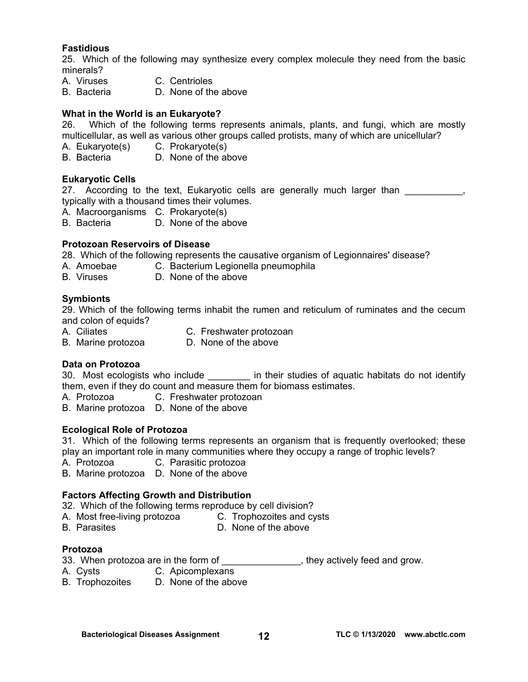## **Fastidious**

25. Which of the following may synthesize every complex molecule they need from the basic minerals?

- A. Viruses C. Centrioles
- B. Bacteria D. None of the above

## **What in the World is an Eukaryote?**

26. Which of the following terms represents animals, plants, and fungi, which are mostly multicellular, as well as various other groups called protists, many of which are unicellular?

- A. Eukaryote(s) C. Prokaryote(s)
- B. Bacteria D. None of the above

#### **Eukaryotic Cells**

27. According to the text, Eukaryotic cells are generally much larger than typically with a thousand times their volumes.

- A. Macroorganisms C. Prokaryote(s)
- B. Bacteria D. None of the above

#### **Protozoan Reservoirs of Disease**

28. Which of the following represents the causative organism of Legionnaires' disease?

- A. Amoebae C. Bacterium Legionella pneumophila
- B. Viruses D. None of the above

#### **Symbionts**

29. Which of the following terms inhabit the rumen and reticulum of ruminates and the cecum and colon of equids?

- A. Ciliates **C. Freshwater protozoan**
- B. Marine protozoa D. None of the above

### **Data on Protozoa**

30.Most ecologists who include \_\_\_\_\_\_\_\_ in their studies of aquatic habitats do not identify them, even if they do count and measure them for biomass estimates.

- A. Protozoa C. Freshwater protozoan
- B. Marine protozoa D. None of the above

#### **Ecological Role of Protozoa**

31. Which of the following terms represents an organism that is frequently overlooked; these play an important role in many communities where they occupy a range of trophic levels?

- A. Protozoa C. Parasitic protozoa
- B. Marine protozoa D. None of the above

### **Factors Affecting Growth and Distribution**

- 32.Which of the following terms reproduce by cell division?
- A. Most free-living protozoa C. Trophozoites and cysts
- 
- B. Parasites **D. None of the above**

### **Protozoa**

- 33. When protozoa are in the form of \_\_\_\_\_\_\_\_\_\_\_\_\_\_\_, they actively feed and grow.
- A. Cysts C. Apicomplexans
- B. Trophozoites D. None of the above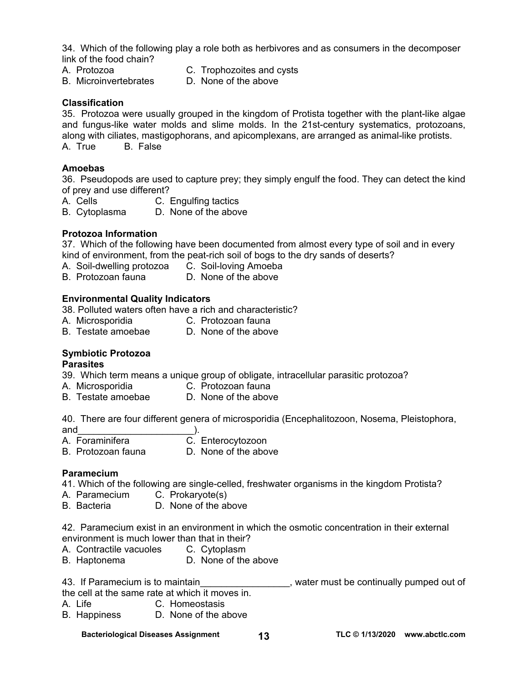34. Which of the following play a role both as herbivores and as consumers in the decomposer link of the food chain?

- 
- A. Protozoa C. Trophozoites and cysts
- B. Microinvertebrates D. None of the above
- 

## **Classification**

35. Protozoa were usually grouped in the kingdom of Protista together with the plant-like algae and fungus-like water molds and slime molds. In the 21st-century systematics, protozoans, along with ciliates, mastigophorans, and apicomplexans, are arranged as animal-like protists. A. True B. False

## **Amoebas**

36. Pseudopods are used to capture prey; they simply engulf the food. They can detect the kind of prey and use different?

- A. Cells C. Engulfing tactics
- B. Cytoplasma D. None of the above

## **Protozoa Information**

37. Which of the following have been documented from almost every type of soil and in every kind of environment, from the peat-rich soil of bogs to the dry sands of deserts?

- A. Soil-dwelling protozoa C. Soil-loving Amoeba
- B. Protozoan fauna D. None of the above

### **Environmental Quality Indicators**

- 38. Polluted waters often have a rich and characteristic?
- A. Microsporidia C. Protozoan fauna
- B. Testate amoebae D. None of the above

#### **Symbiotic Protozoa Parasites**

39. Which term means a unique group of obligate, intracellular parasitic protozoa?

- A. Microsporidia C. Protozoan fauna
- B. Testate amoebae D. None of the above

40. There are four different genera of microsporidia (Encephalitozoon, Nosema, Pleistophora, and\_\_\_\_\_\_\_\_\_\_\_\_\_\_\_\_\_\_\_\_\_\_\_\_\_\_).<br>A. Foraminifera C.

- $\overline{C}$ . Enterocytozoon
- B. Protozoan fauna D. None of the above

### **Paramecium**

41. Which of the following are single-celled, freshwater organisms in the kingdom Protista?

- A. Paramecium C. Prokaryote(s)<br>B. Bacteria D. None of the at
- D. None of the above

42. Paramecium exist in an environment in which the osmotic concentration in their external environment is much lower than that in their?

- A. Contractile vacuoles C. Cytoplasm
- B. Haptonema D. None of the above

43. If Paramecium is to maintain exactled a summary water must be continually pumped out of the cell at the same rate at which it moves in.

- A. Life C. Homeostasis
- B. Happiness D. None of the above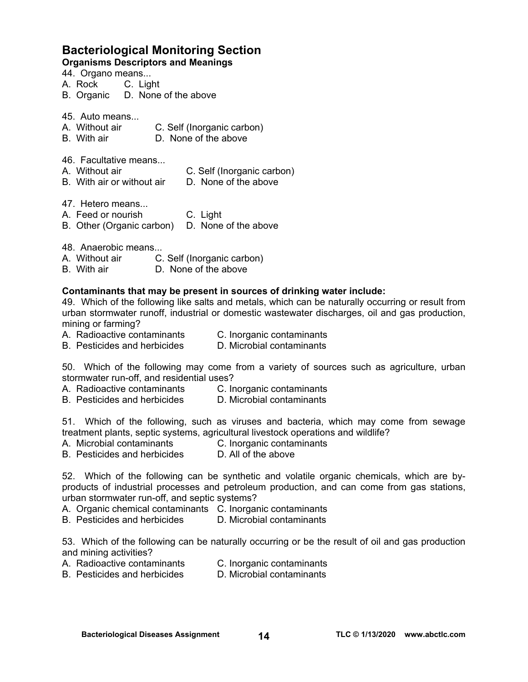# **Bacteriological Monitoring Section**

# **Organisms Descriptors and Meanings**

44. Organo means...

- A. Rock C. Light
- B. Organic D. None of the above

45. Auto means...

- A. Without air C. Self (Inorganic carbon)
- B. With air D. None of the above

46. Facultative means...

- A. Without air C. Self (Inorganic carbon)
- B. With air or without air D. None of the above

47. Hetero means...

- A. Feed or nourish C. Light B. Other (Organic carbon) D. None of the above
- 48. Anaerobic means...
- A. Without air C. Self (Inorganic carbon)
- B. With air D. None of the above

## **Contaminants that may be present in sources of drinking water include:**

49. Which of the following like salts and metals, which can be naturally occurring or result from urban stormwater runoff, industrial or domestic wastewater discharges, oil and gas production, mining or farming?

- A. Radioactive contaminants C. Inorganic contaminants
- B. Pesticides and herbicides D. Microbial contaminants

50. Which of the following may come from a variety of sources such as agriculture, urban stormwater run-off, and residential uses?

- A. Radioactive contaminants C. Inorganic contaminants
- B. Pesticides and herbicides D. Microbial contaminants

51. Which of the following, such as viruses and bacteria, which may come from sewage treatment plants, septic systems, agricultural livestock operations and wildlife?

- A. Microbial contaminants C. Inorganic contaminants
- B. Pesticides and herbicides D. All of the above

52. Which of the following can be synthetic and volatile organic chemicals, which are byproducts of industrial processes and petroleum production, and can come from gas stations, urban stormwater run-off, and septic systems?

A. Organic chemical contaminants C. Inorganic contaminants

B. Pesticides and herbicides D. Microbial contaminants

53. Which of the following can be naturally occurring or be the result of oil and gas production and mining activities?

- A. Radioactive contaminants C. Inorganic contaminants<br>
B. Pesticides and herbicides D. Microbial contaminants
- B. Pesticides and herbicides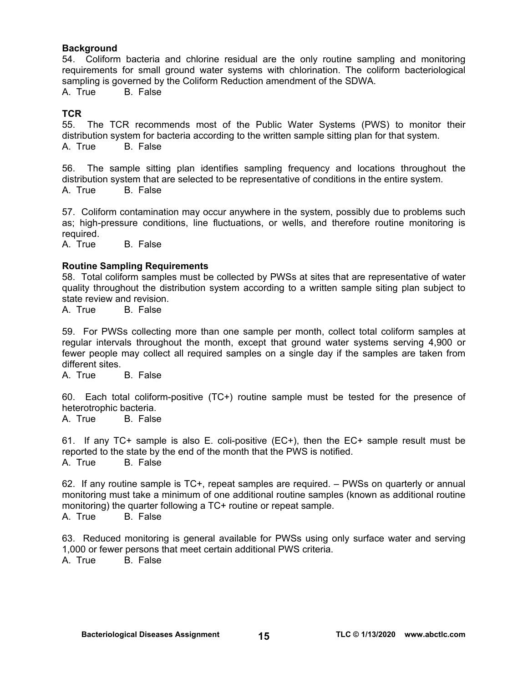#### **Background**

54. Coliform bacteria and chlorine residual are the only routine sampling and monitoring requirements for small ground water systems with chlorination. The coliform bacteriological sampling is governed by the Coliform Reduction amendment of the SDWA.

A. True B. False

## **TCR**

55. The TCR recommends most of the Public Water Systems (PWS) to monitor their distribution system for bacteria according to the written sample sitting plan for that system. A. True B. False

56. The sample sitting plan identifies sampling frequency and locations throughout the distribution system that are selected to be representative of conditions in the entire system. A. True B. False

57. Coliform contamination may occur anywhere in the system, possibly due to problems such as; high-pressure conditions, line fluctuations, or wells, and therefore routine monitoring is required.

A. True B. False

#### **Routine Sampling Requirements**

58. Total coliform samples must be collected by PWSs at sites that are representative of water quality throughout the distribution system according to a written sample siting plan subject to state review and revision.

A. True B. False

59. For PWSs collecting more than one sample per month, collect total coliform samples at regular intervals throughout the month, except that ground water systems serving 4,900 or fewer people may collect all required samples on a single day if the samples are taken from different sites.

A. True B. False

60. Each total coliform-positive (TC+) routine sample must be tested for the presence of heterotrophic bacteria.

A. True B. False

61. If any TC+ sample is also E. coli-positive (EC+), then the EC+ sample result must be reported to the state by the end of the month that the PWS is notified. A. True B. False

62. If any routine sample is TC+, repeat samples are required. – PWSs on quarterly or annual monitoring must take a minimum of one additional routine samples (known as additional routine monitoring) the quarter following a TC+ routine or repeat sample.

A. True B. False

63. Reduced monitoring is general available for PWSs using only surface water and serving 1,000 or fewer persons that meet certain additional PWS criteria.

A. True B. False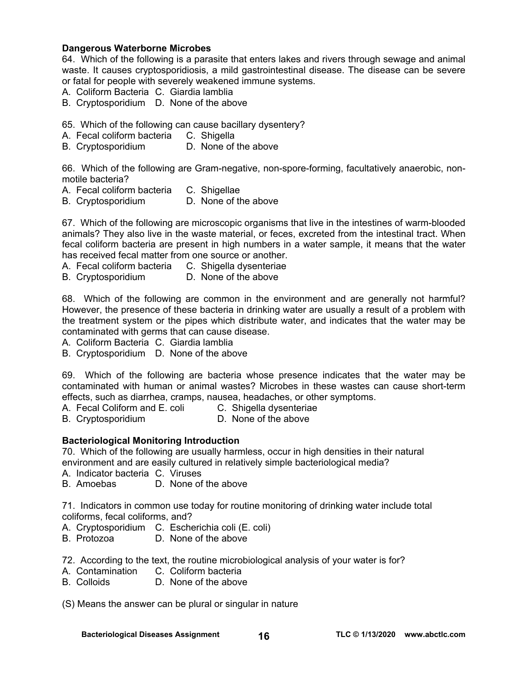### **Dangerous Waterborne Microbes**

64. Which of the following is a parasite that enters lakes and rivers through sewage and animal waste. It causes cryptosporidiosis, a mild gastrointestinal disease. The disease can be severe or fatal for people with severely weakened immune systems.

- A. Coliform Bacteria C. Giardia lamblia
- B. Cryptosporidium D. None of the above
- 65. Which of the following can cause bacillary dysentery?
- A. Fecal coliform bacteria C. Shigella
- B. Cryptosporidium D. None of the above

66. Which of the following are Gram-negative, non-spore-forming, facultatively anaerobic, nonmotile bacteria?

- A. Fecal coliform bacteria C. Shigellae
- B. Cryptosporidium D. None of the above

67. Which of the following are microscopic organisms that live in the intestines of warm-blooded animals? They also live in the waste material, or feces, excreted from the intestinal tract. When fecal coliform bacteria are present in high numbers in a water sample, it means that the water has received fecal matter from one source or another.

- A. Fecal coliform bacteria C. Shigella dysenteriae
- B. Cryptosporidium D. None of the above

68. Which of the following are common in the environment and are generally not harmful? However, the presence of these bacteria in drinking water are usually a result of a problem with the treatment system or the pipes which distribute water, and indicates that the water may be contaminated with germs that can cause disease.

A. Coliform Bacteria C. Giardia lamblia

B. Cryptosporidium D. None of the above

69. Which of the following are bacteria whose presence indicates that the water may be contaminated with human or animal wastes? Microbes in these wastes can cause short-term effects, such as diarrhea, cramps, nausea, headaches, or other symptoms.

A. Fecal Coliform and E. coli C. Shigella dysenteriae

B. Cryptosporidium D. None of the above

### **Bacteriological Monitoring Introduction**

70. Which of the following are usually harmless, occur in high densities in their natural environment and are easily cultured in relatively simple bacteriological media?

- A. Indicator bacteria C. Viruses
- B. Amoebas D. None of the above

71. Indicators in common use today for routine monitoring of drinking water include total coliforms, fecal coliforms, and?

- A. Cryptosporidium C. Escherichia coli (E. coli)
- B. Protozoa D. None of the above
- 72. According to the text, the routine microbiological analysis of your water is for?
- A. Contamination C. Coliform bacteria
- B. Colloids D. None of the above

(S) Means the answer can be plural or singular in nature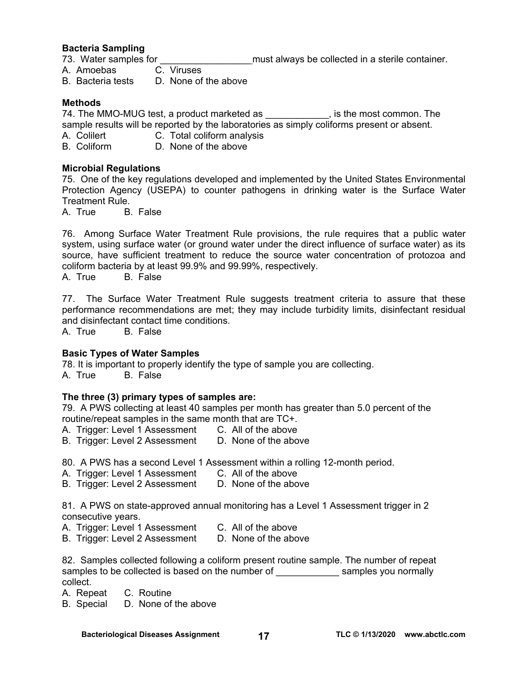### **Bacteria Sampling**

73. Water samples for \_\_\_\_\_\_\_\_\_\_\_\_\_\_\_\_\_ must always be collected in a sterile container.

- A. Amoebas C. Viruses
- B. Bacteria tests D. None of the above

#### **Methods**

74. The MMO-MUG test, a product marketed as  $\qquad \qquad$ , is the most common. The sample results will be reported by the laboratories as simply coliforms present or absent.

A. Colilert **C.** Total coliform analysis

B. Coliform D. None of the above

### **Microbial Regulations**

75. One of the key regulations developed and implemented by the United States Environmental Protection Agency (USEPA) to counter pathogens in drinking water is the Surface Water Treatment Rule.

A. True B. False

76. Among Surface Water Treatment Rule provisions, the rule requires that a public water system, using surface water (or ground water under the direct influence of surface water) as its source, have sufficient treatment to reduce the source water concentration of protozoa and coliform bacteria by at least 99.9% and 99.99%, respectively.

A. True B. False

77. The Surface Water Treatment Rule suggests treatment criteria to assure that these performance recommendations are met; they may include turbidity limits, disinfectant residual and disinfectant contact time conditions.

A. True B. False

### **Basic Types of Water Samples**

78. It is important to properly identify the type of sample you are collecting. A. True B. False

#### **The three (3) primary types of samples are:**

79. A PWS collecting at least 40 samples per month has greater than 5.0 percent of the routine/repeat samples in the same month that are TC+.

- A. Trigger: Level 1 Assessment C. All of the above
- B. Trigger: Level 2 Assessment D. None of the above

80. A PWS has a second Level 1 Assessment within a rolling 12-month period.

- A. Trigger: Level 1 Assessment C. All of the above
- B. Trigger: Level 2 Assessment D. None of the above

81. A PWS on state-approved annual monitoring has a Level 1 Assessment trigger in 2 consecutive years.

- A. Trigger: Level 1 Assessment C. All of the above
	-
- B. Trigger: Level 2 Assessment D. None of the above

82. Samples collected following a coliform present routine sample. The number of repeat samples to be collected is based on the number of each samples you normally collect.

- A. Repeat C. Routine
- B. Special D. None of the above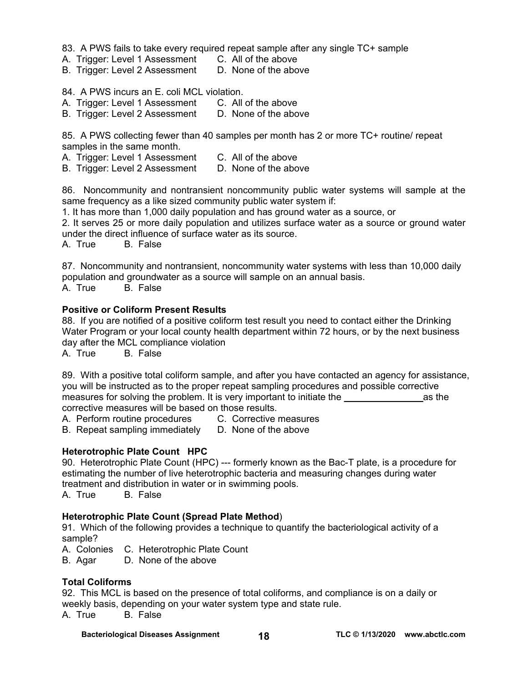83. A PWS fails to take every required repeat sample after any single TC+ sample

- A. Trigger: Level 1 Assessment C. All of the above
- B. Trigger: Level 2 Assessment D. None of the above

84. A PWS incurs an E. coli MCL violation.

- A. Trigger: Level 1 Assessment C. All of the above<br>B. Trigger: Level 2 Assessment D. None of the above
- B. Trigger: Level 2 Assessment

85. A PWS collecting fewer than 40 samples per month has 2 or more TC+ routine/ repeat samples in the same month.

- A. Trigger: Level 1 Assessment C. All of the above
	-
- B. Trigger: Level 2 Assessment D. None of the above

86. Noncommunity and nontransient noncommunity public water systems will sample at the same frequency as a like sized community public water system if:

1. It has more than 1,000 daily population and has ground water as a source, or

2. It serves 25 or more daily population and utilizes surface water as a source or ground water under the direct influence of surface water as its source.

A. True B. False

87. Noncommunity and nontransient, noncommunity water systems with less than 10,000 daily population and groundwater as a source will sample on an annual basis.

A. True B. False

### **Positive or Coliform Present Results**

88. If you are notified of a positive coliform test result you need to contact either the Drinking Water Program or your local county health department within 72 hours, or by the next business day after the MCL compliance violation

A. True B. False

89. With a positive total coliform sample, and after you have contacted an agency for assistance, you will be instructed as to the proper repeat sampling procedures and possible corrective measures for solving the problem. It is very important to initiate the example as the corrective measures will be based on those results.

A. Perform routine procedures C. Corrective measures

B. Repeat sampling immediately D. None of the above

### **Heterotrophic Plate Count HPC**

90. Heterotrophic Plate Count (HPC) --- formerly known as the Bac-T plate, is a procedure for estimating the number of live heterotrophic bacteria and measuring changes during water treatment and distribution in water or in swimming pools.

A. True B. False

### **Heterotrophic Plate Count (Spread Plate Method**)

91. Which of the following provides a technique to quantify the bacteriological activity of a sample?

A. Colonies C. Heterotrophic Plate Count

B. Agar D. None of the above

### **Total Coliforms**

92. This MCL is based on the presence of total coliforms, and compliance is on a daily or weekly basis, depending on your water system type and state rule.

A. True B. False

**Bacteriological Diseases Assignment** 18 **12 TLC © 1/13/2020** www.abctlc.com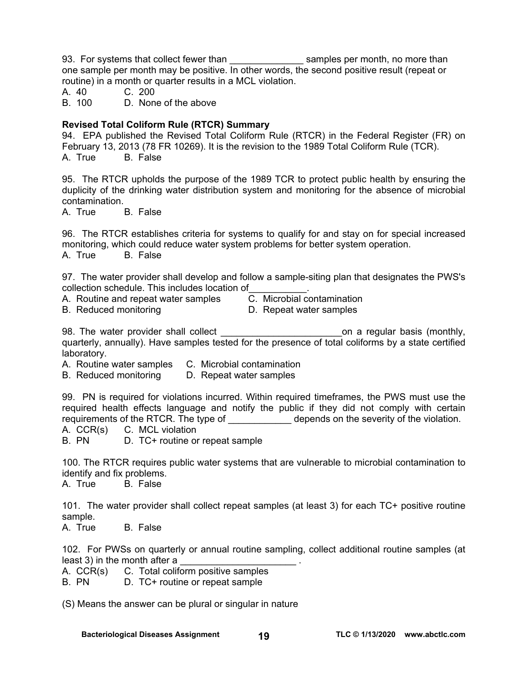93. For systems that collect fewer than \_\_\_\_\_\_\_\_\_\_\_\_\_\_\_\_\_\_\_ samples per month, no more than one sample per month may be positive. In other words, the second positive result (repeat or routine) in a month or quarter results in a MCL violation.

A. 40 C. 200

B. 100 D. None of the above

## **Revised Total Coliform Rule (RTCR) Summary**

94. EPA published the Revised Total Coliform Rule (RTCR) in the Federal Register (FR) on February 13, 2013 (78 FR 10269). It is the revision to the 1989 Total Coliform Rule (TCR). A. True B. False

95. The RTCR upholds the purpose of the 1989 TCR to protect public health by ensuring the duplicity of the drinking water distribution system and monitoring for the absence of microbial contamination.

A. True B. False

96. The RTCR establishes criteria for systems to qualify for and stay on for special increased monitoring, which could reduce water system problems for better system operation. A. True B. False

97. The water provider shall develop and follow a sample-siting plan that designates the PWS's collection schedule. This includes location of\_\_\_\_\_\_\_\_\_\_\_.

- A. Routine and repeat water samples C. Microbial contamination
- B. Reduced monitoring D. Repeat water samples
- 

98. The water provider shall collect example the state on a regular basis (monthly, quarterly, annually). Have samples tested for the presence of total coliforms by a state certified laboratory.

A. Routine water samples C. Microbial contamination

B. Reduced monitoring D. Repeat water samples

99. PN is required for violations incurred. Within required timeframes, the PWS must use the required health effects language and notify the public if they did not comply with certain requirements of the RTCR. The type of \_\_\_\_\_\_\_\_\_\_\_\_\_\_\_ depends on the severity of the violation.

A. CCR(s) C. MCL violation<br>B. PN D. TC+ routine or

D. TC+ routine or repeat sample

100. The RTCR requires public water systems that are vulnerable to microbial contamination to identify and fix problems.

A. True B. False

101. The water provider shall collect repeat samples (at least 3) for each TC+ positive routine sample.

A. True B. False

102. For PWSs on quarterly or annual routine sampling, collect additional routine samples (at least 3) in the month after a

- A. CCR(s) C. Total coliform positive samples
- B. PN D. TC+ routine or repeat sample

(S) Means the answer can be plural or singular in nature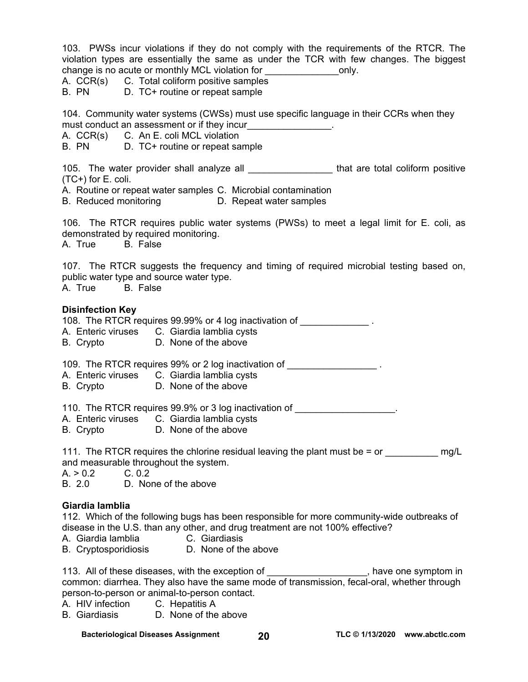103. PWSs incur violations if they do not comply with the requirements of the RTCR. The violation types are essentially the same as under the TCR with few changes. The biggest change is no acute or monthly MCL violation for example is no acute or monthly MCL violation for A. CCR(s) C. Total coliform positive samples B. PN D. TC+ routine or repeat sample 104. Community water systems (CWSs) must use specific language in their CCRs when they must conduct an assessment or if they incur\_\_\_\_\_\_\_\_\_\_\_\_\_\_\_\_. A. CCR(s) C. An E. coli MCL violation B. PN D. TC+ routine or repeat sample

105. The water provider shall analyze all \_\_\_\_\_\_\_\_\_\_\_\_\_\_\_\_\_\_\_\_that are total coliform positive (TC+) for E. coli.

A. Routine or repeat water samples C. Microbial contamination

B. Reduced monitoring D. Repeat water samples

106. The RTCR requires public water systems (PWSs) to meet a legal limit for E. coli, as demonstrated by required monitoring. A. True B. False

107. The RTCR suggests the frequency and timing of required microbial testing based on, public water type and source water type.

A. True B. False

### **Disinfection Key**

108. The RTCR requires 99.99% or 4 log inactivation of \_\_\_\_\_\_\_\_\_\_\_\_\_\_.

- A. Enteric viruses C. Giardia lamblia cysts
- B. Crypto D. None of the above

109. The RTCR requires 99% or 2 log inactivation of \_\_\_\_\_\_\_\_\_\_\_\_\_\_\_\_\_\_\_\_.

- A. Enteric viruses C. Giardia lamblia cysts
- B. Crypto D. None of the above

110. The RTCR requires 99.9% or 3 log inactivation of

- A. Enteric viruses C. Giardia lamblia cysts
- B. Crypto D. None of the above

111. The RTCR requires the chlorine residual leaving the plant must be  $=$  or  $\frac{mgl}{L}$ and measurable throughout the system.

 $A > 0.2$  C. 0.2

B. 2.0 D. None of the above

### **Giardia lamblia**

112. Which of the following bugs has been responsible for more community-wide outbreaks of disease in the U.S. than any other, and drug treatment are not 100% effective?

- A. Giardia lamblia C. Giardiasis
- B. Cryptosporidiosis D. None of the above

113. All of these diseases, with the exception of \_\_\_\_\_\_\_\_\_\_\_\_\_\_\_\_\_\_, have one symptom in common: diarrhea. They also have the same mode of transmission, fecal-oral, whether through person-to-person or animal-to-person contact.

- A. HIV infection C. Hepatitis A
- B. Giardiasis D. None of the above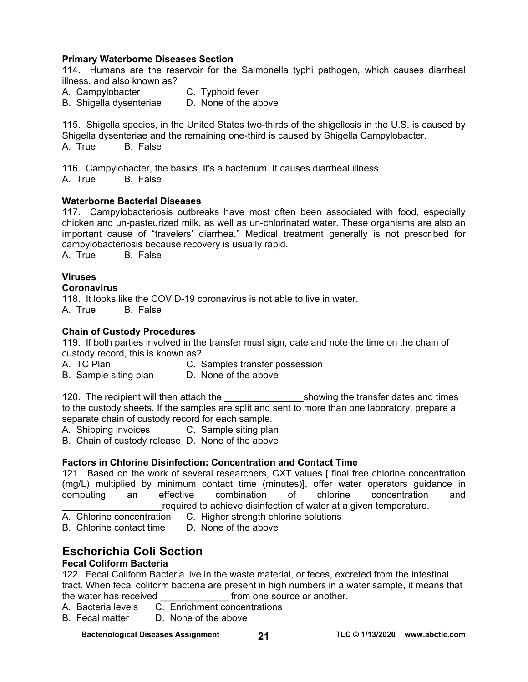### **Primary Waterborne Diseases Section**

114. Humans are the reservoir for the Salmonella typhi pathogen, which causes diarrheal illness, and also known as?

A. Campylobacter **C. Typhoid fever** 

B. Shigella dysenteriae D. None of the above

115. Shigella species, in the United States two-thirds of the shigellosis in the U.S. is caused by Shigella dysenteriae and the remaining one-third is caused by Shigella Campylobacter. A. True B. False

116. Campylobacter, the basics. It's a bacterium. It causes diarrheal illness.

A. True B. False

### **Waterborne Bacterial Diseases**

117. Campylobacteriosis outbreaks have most often been associated with food, especially chicken and un-pasteurized milk, as well as un-chlorinated water. These organisms are also an important cause of "travelers' diarrhea." Medical treatment generally is not prescribed for campylobacteriosis because recovery is usually rapid.

A. True B. False

## **Viruses**

#### **Coronavirus**

118. It looks like the COVID-19 coronavirus is not able to live in water. A. True B. False

### **Chain of Custody Procedures**

119. If both parties involved in the transfer must sign, date and note the time on the chain of custody record, this is known as?

- A. TC Plan C. Samples transfer possession
- B. Sample siting plan D. None of the above

120. The recipient will then attach the the showing the transfer dates and times to the custody sheets. If the samples are split and sent to more than one laboratory, prepare a separate chain of custody record for each sample.

A. Shipping invoices C. Sample siting plan

B. Chain of custody release D. None of the above

### **Factors in Chlorine Disinfection: Concentration and Contact Time**

121. Based on the work of several researchers, CXT values [ final free chlorine concentration (mg/L) multiplied by minimum contact time (minutes)], offer water operators guidance in computing an effective combination of chlorine concentration and required to achieve disinfection of water at a given temperature.

- A. Chlorine concentration C. Higher strength chlorine solutions
- B. Chlorine contact time D. None of the above

# **Escherichia Coli Section**

## **Fecal Coliform Bacteria**

122. Fecal Coliform Bacteria live in the waste material, or feces, excreted from the intestinal tract. When fecal coliform bacteria are present in high numbers in a water sample, it means that the water has received entitled the source or another.

- A. Bacteria levels C. Enrichment concentrations
- B. Fecal matter D. None of the above

Bacteriological Diseases Assignment 21 **1988** TLC © 1/13/2020 www.abctlc.com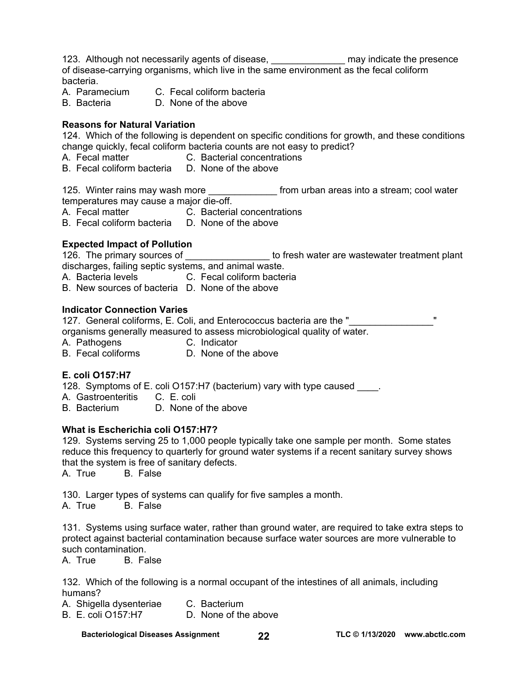123. Although not necessarily agents of disease, **with the manual manual may indicate the presence** 

of disease-carrying organisms, which live in the same environment as the fecal coliform bacteria.

- A. Paramecium C. Fecal coliform bacteria
- B. Bacteria D. None of the above

## **Reasons for Natural Variation**

124. Which of the following is dependent on specific conditions for growth, and these conditions change quickly, fecal coliform bacteria counts are not easy to predict?

- A. Fecal matter **C. Bacterial concentrations**
- B. Fecal coliform bacteria D. None of the above

125. Winter rains may wash more \_\_\_\_\_\_\_\_\_\_\_\_\_\_ from urban areas into a stream; cool water temperatures may cause a major die-off.

- A. Fecal matter C. Bacterial concentrations
- B. Fecal coliform bacteria D. None of the above

# **Expected Impact of Pollution**

126. The primary sources of the state of the state wastewater treatment plant

discharges, failing septic systems, and animal waste.

- A. Bacteria levels **C. Fecal coliform bacteria**
- B. New sources of bacteria D. None of the above

# **Indicator Connection Varies**

127. General coliforms, E. Coli, and Enterococcus bacteria are the "

organisms generally measured to assess microbiological quality of water.

- A. Pathogens C. Indicator
- B. Fecal coliforms D. None of the above

# **E. coli O157:H7**

128. Symptoms of E. coli O157:H7 (bacterium) vary with type caused .

- A. Gastroenteritis C. E. coli
- B. Bacterium D. None of the above

# **What is Escherichia coli O157:H7?**

129. Systems serving 25 to 1,000 people typically take one sample per month. Some states reduce this frequency to quarterly for ground water systems if a recent sanitary survey shows that the system is free of sanitary defects.

A. True B. False

130. Larger types of systems can qualify for five samples a month.

A. True B. False

131. Systems using surface water, rather than ground water, are required to take extra steps to protect against bacterial contamination because surface water sources are more vulnerable to such contamination.

A. True B. False

132. Which of the following is a normal occupant of the intestines of all animals, including humans?

- A. Shigella dysenteriae C. Bacterium
- B. E. coli O157:H7 D. None of the above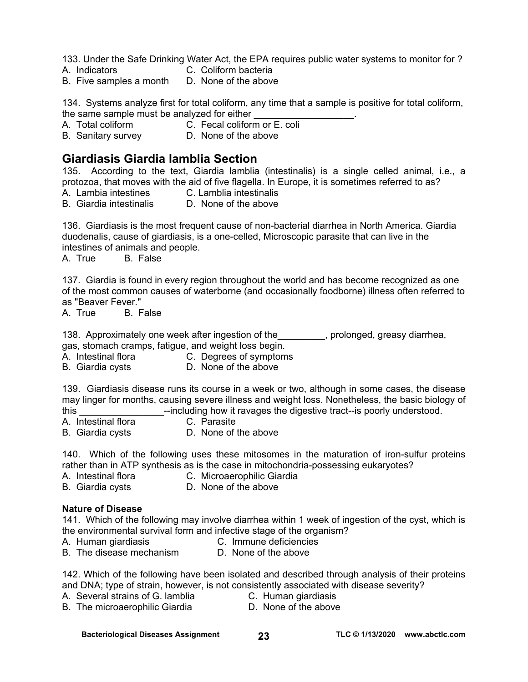133. Under the Safe Drinking Water Act, the EPA requires public water systems to monitor for ?

- A. Indicators C. Coliform bacteria
- B. Five samples a month D. None of the above

134. Systems analyze first for total coliform, any time that a sample is positive for total coliform, the same sample must be analyzed for either

- A. Total coliform C. Fecal coliform or E. coli
- B. Sanitary survey **D. None of the above**

# **Giardiasis Giardia lamblia Section**

135. According to the text, Giardia lamblia (intestinalis) is a single celled animal, i.e., a protozoa, that moves with the aid of five flagella. In Europe, it is sometimes referred to as?

A. Lambia intestines C. Lamblia intestinalis

B. Giardia intestinalis D. None of the above

136. Giardiasis is the most frequent cause of non-bacterial diarrhea in North America. Giardia duodenalis, cause of giardiasis, is a one-celled, Microscopic parasite that can live in the intestines of animals and people.

A. True B. False

137. Giardia is found in every region throughout the world and has become recognized as one of the most common causes of waterborne (and occasionally foodborne) illness often referred to as "Beaver Fever."

A. True B. False

138. Approximately one week after ingestion of the more prolonged, greasy diarrhea, gas, stomach cramps, fatigue, and weight loss begin.

- A. Intestinal flora C. Degrees of symptoms
- B. Giardia cysts D. None of the above

139. Giardiasis disease runs its course in a week or two, although in some cases, the disease may linger for months, causing severe illness and weight loss. Nonetheless, the basic biology of this **the set of the set of the set of the set of the set of the set of the set of the set of the set of the set of the set of the set of the set of the set of the set of the set of the set of the set of the set of the set** 

- A. Intestinal flora **C. Parasite**
- B. Giardia cysts D. None of the above
	-

140. Which of the following uses these mitosomes in the maturation of iron-sulfur proteins rather than in ATP synthesis as is the case in mitochondria-possessing eukaryotes?

- 
- A. Intestinal flora C. Microaerophilic Giardia B. Giardia cysts D. None of the above

# **Nature of Disease**

141. Which of the following may involve diarrhea within 1 week of ingestion of the cyst, which is the environmental survival form and infective stage of the organism?

- A. Human giardiasis C. Immune deficiencies
- 
- B. The disease mechanism D. None of the above

142. Which of the following have been isolated and described through analysis of their proteins and DNA; type of strain, however, is not consistently associated with disease severity?

- A. Several strains of G. lamblia C. Human giardiasis
- B. The microaerophilic Giardia **D.** None of the above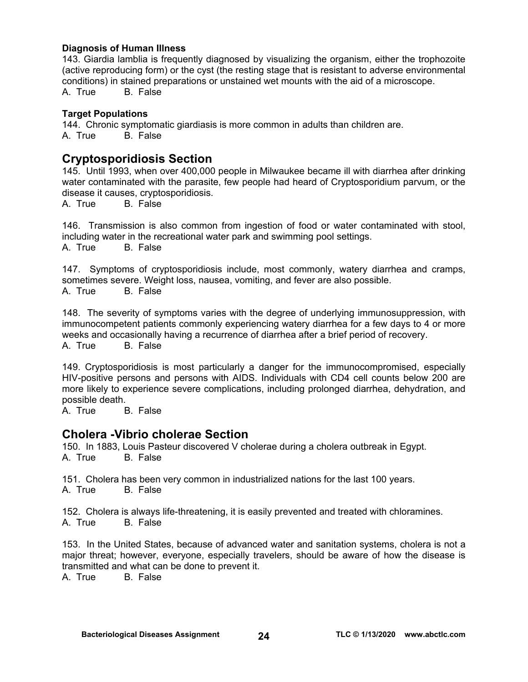#### **Diagnosis of Human Illness**

143. Giardia lamblia is frequently diagnosed by visualizing the organism, either the trophozoite (active reproducing form) or the cyst (the resting stage that is resistant to adverse environmental conditions) in stained preparations or unstained wet mounts with the aid of a microscope. A. True B. False

#### **Target Populations**

144. Chronic symptomatic giardiasis is more common in adults than children are. A. True B. False

# **Cryptosporidiosis Section**

145. Until 1993, when over 400,000 people in Milwaukee became ill with diarrhea after drinking water contaminated with the parasite, few people had heard of Cryptosporidium parvum, or the disease it causes, cryptosporidiosis.

A. True B. False

146. Transmission is also common from ingestion of food or water contaminated with stool, including water in the recreational water park and swimming pool settings.

A. True B. False

147. Symptoms of cryptosporidiosis include, most commonly, watery diarrhea and cramps, sometimes severe. Weight loss, nausea, vomiting, and fever are also possible.

A. True B. False

148. The severity of symptoms varies with the degree of underlying immunosuppression, with immunocompetent patients commonly experiencing watery diarrhea for a few days to 4 or more weeks and occasionally having a recurrence of diarrhea after a brief period of recovery.

A. True B. False

149. Cryptosporidiosis is most particularly a danger for the immunocompromised, especially HIV-positive persons and persons with AIDS. Individuals with CD4 cell counts below 200 are more likely to experience severe complications, including prolonged diarrhea, dehydration, and possible death.

A. True B. False

# **Cholera -Vibrio cholerae Section**

150. In 1883, Louis Pasteur discovered V cholerae during a cholera outbreak in Egypt. A. True B. False

151. Cholera has been very common in industrialized nations for the last 100 years.

A. True B. False

152. Cholera is always life-threatening, it is easily prevented and treated with chloramines. A. True B. False

153. In the United States, because of advanced water and sanitation systems, cholera is not a major threat; however, everyone, especially travelers, should be aware of how the disease is transmitted and what can be done to prevent it.

A. True B. False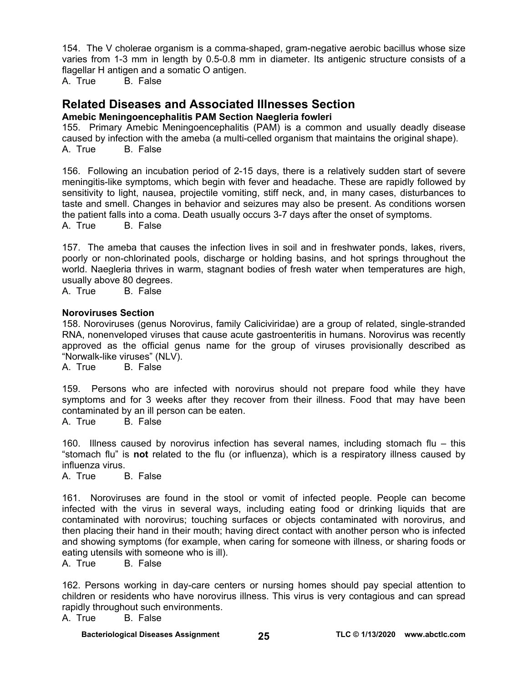154. The V cholerae organism is a comma-shaped, gram-negative aerobic bacillus whose size varies from 1-3 mm in length by 0.5-0.8 mm in diameter. Its antigenic structure consists of a flagellar H antigen and a somatic O antigen.

A. True B. False

# **Related Diseases and Associated Illnesses Section**

## **Amebic Meningoencephalitis PAM Section Naegleria fowleri**

155. Primary Amebic Meningoencephalitis (PAM) is a common and usually deadly disease caused by infection with the ameba (a multi-celled organism that maintains the original shape). A. True B. False

156. Following an incubation period of 2-15 days, there is a relatively sudden start of severe meningitis-like symptoms, which begin with fever and headache. These are rapidly followed by sensitivity to light, nausea, projectile vomiting, stiff neck, and, in many cases, disturbances to taste and smell. Changes in behavior and seizures may also be present. As conditions worsen the patient falls into a coma. Death usually occurs 3-7 days after the onset of symptoms. A. True B. False

157. The ameba that causes the infection lives in soil and in freshwater ponds, lakes, rivers, poorly or non-chlorinated pools, discharge or holding basins, and hot springs throughout the world. Naegleria thrives in warm, stagnant bodies of fresh water when temperatures are high, usually above 80 degrees.

A. True B. False

### **Noroviruses Section**

158. Noroviruses (genus Norovirus, family Caliciviridae) are a group of related, single-stranded RNA, nonenveloped viruses that cause acute gastroenteritis in humans. Norovirus was recently approved as the official genus name for the group of viruses provisionally described as "Norwalk-like viruses" (NLV).

A. True B. False

159. Persons who are infected with norovirus should not prepare food while they have symptoms and for 3 weeks after they recover from their illness. Food that may have been contaminated by an ill person can be eaten.

A. True B. False

160. Illness caused by norovirus infection has several names, including stomach flu – this "stomach flu" is **not** related to the flu (or influenza), which is a respiratory illness caused by influenza virus.

A. True B. False

161. Noroviruses are found in the stool or vomit of infected people. People can become infected with the virus in several ways, including eating food or drinking liquids that are contaminated with norovirus; touching surfaces or objects contaminated with norovirus, and then placing their hand in their mouth; having direct contact with another person who is infected and showing symptoms (for example, when caring for someone with illness, or sharing foods or eating utensils with someone who is ill).

A. True B. False

162. Persons working in day-care centers or nursing homes should pay special attention to children or residents who have norovirus illness. This virus is very contagious and can spread rapidly throughout such environments.

A. True B. False

**Bacteriological Diseases Assignment TLC © 1/13/2020 25 [www.abctlc.com](http://www.abctlc.com)**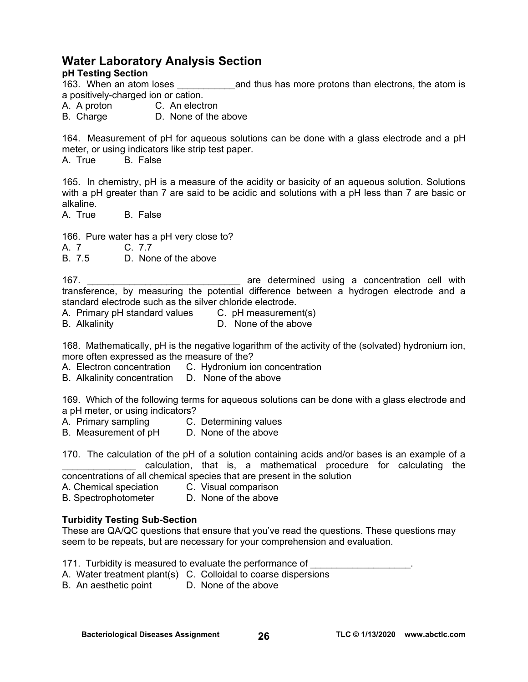# **Water Laboratory Analysis Section**

# **pH Testing Section**

163. When an atom loses **the same of thus has more protons than electrons**, the atom is a positively-charged ion or cation.

A. A proton C. An electron

B. Charge D. None of the above

164. Measurement of pH for aqueous solutions can be done with a glass electrode and a pH meter, or using indicators like strip test paper.

A. True B. False

165. In chemistry, pH is a measure of the acidity or basicity of an aqueous solution. Solutions with a pH greater than 7 are said to be acidic and solutions with a pH less than 7 are basic or alkaline.

A. True B. False

166. Pure water has a pH very close to?

A. 7 C. 7.7<br>B. 7.5 D. Nor

D. None of the above

167. \_\_\_\_\_\_\_\_\_\_\_\_\_\_\_\_\_\_\_\_\_\_\_\_\_\_\_\_\_ are determined using a concentration cell with transference, by measuring the potential difference between a hydrogen electrode and a standard electrode such as the silver chloride electrode.

- A. Primary pH standard values C. pH measurement(s)
- B. Alkalinity D. None of the above

168. Mathematically, pH is the negative logarithm of the activity of the (solvated) hydronium ion, more often expressed as the measure of the?

A. Electron concentration C. Hydronium ion concentration

B. Alkalinity concentration D. None of the above

169. Which of the following terms for aqueous solutions can be done with a glass electrode and a pH meter, or using indicators?

- A. Primary sampling C. Determining values
- B. Measurement of pH D. None of the above

170. The calculation of the pH of a solution containing acids and/or bases is an example of a \_\_\_\_\_\_\_\_\_\_\_\_\_\_ calculation, that is, a mathematical procedure for calculating the concentrations of all chemical species that are present in the solution

- A. Chemical speciation C. Visual comparison
- B. Spectrophotometer D. None of the above

# **Turbidity Testing Sub-Section**

These are QA/QC questions that ensure that you've read the questions. These questions may seem to be repeats, but are necessary for your comprehension and evaluation.

171. Turbidity is measured to evaluate the performance of

- A. Water treatment plant(s) C. Colloidal to coarse dispersions
- B. An aesthetic point D. None of the above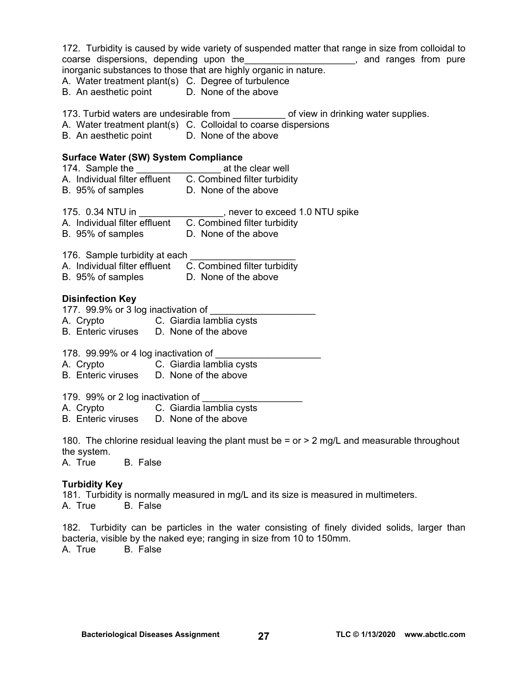| 172. Turbidity is caused by wide variety of suspended matter that range in size from colloidal to<br>coarse dispersions, depending upon the ______________________, and ranges from pure<br>inorganic substances to those that are highly organic in nature.<br>A. Water treatment plant(s) C. Degree of turbulence<br>B. An aesthetic point D. None of the above |
|-------------------------------------------------------------------------------------------------------------------------------------------------------------------------------------------------------------------------------------------------------------------------------------------------------------------------------------------------------------------|
| 173. Turbid waters are undesirable from __________ of view in drinking water supplies.<br>A. Water treatment plant(s) C. Colloidal to coarse dispersions<br>B. An aesthetic point D. None of the above                                                                                                                                                            |
| <b>Surface Water (SW) System Compliance</b><br>B. 95% of samples D. None of the above<br>175. 0.34 NTU in ___________________, never to exceed 1.0 NTU spike<br>A. Individual filter effluent C. Combined filter turbidity<br>B. 95% of samples D. None of the above                                                                                              |
| 176. Sample turbidity at each <b>solution</b><br>A. Individual filter effluent C. Combined filter turbidity<br>B. 95% of samples D. None of the above                                                                                                                                                                                                             |
| <b>Disinfection Key</b><br>177. 99.9% or 3 log inactivation of ________<br>A. Crypto C. Giardia lamblia cysts<br>B. Enteric viruses D. None of the above                                                                                                                                                                                                          |
| 178. 99.99% or 4 log inactivation of ___<br>A. Crypto C. Giardia lamblia cysts<br>B. Enteric viruses D. None of the above                                                                                                                                                                                                                                         |
| 179. 99% or 2 log inactivation of<br>A. Crypto C. Giardia lamblia cysts<br>B. Enteric viruses D. None of the above                                                                                                                                                                                                                                                |
| 180. The chlorine residual leaving the plant must be = $or > 2$ mg/L and measurable throughout<br>the system.<br><b>B.</b> False<br>A. True                                                                                                                                                                                                                       |
| <b>Turbidity Key</b><br>181. Turbidity is normally measured in mg/L and its size is measured in multimeters.<br>B. False<br>A. True                                                                                                                                                                                                                               |

182. Turbidity can be particles in the water consisting of finely divided solids, larger than bacteria, visible by the naked eye; ranging in size from 10 to 150mm. A. True B. False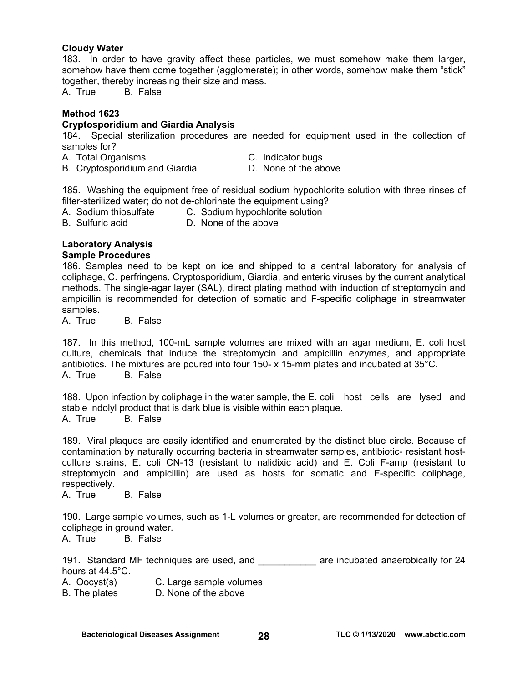#### **Cloudy Water**

183. In order to have gravity affect these particles, we must somehow make them larger, somehow have them come together (agglomerate); in other words, somehow make them "stick" together, thereby increasing their size and mass.

A. True B. False

## **Method 1623**

#### **Cryptosporidium and Giardia Analysis**

184. Special sterilization procedures are needed for equipment used in the collection of samples for?

- A. Total Organisms C. Indicator bugs
- 
- B. Cryptosporidium and Giardia **D.** None of the above
- 

185. Washing the equipment free of residual sodium hypochlorite solution with three rinses of filter-sterilized water; do not de-chlorinate the equipment using?

- A. Sodium thiosulfate C. Sodium hypochlorite solution
- B. Sulfuric acid D. None of the above
- 

# **Laboratory Analysis**

#### **Sample Procedures**

186. Samples need to be kept on ice and shipped to a central laboratory for analysis of coliphage, C. perfringens, Cryptosporidium, Giardia, and enteric viruses by the current analytical methods. The single-agar layer (SAL), direct plating method with induction of streptomycin and ampicillin is recommended for detection of somatic and F-specific coliphage in streamwater samples.

A. True B. False

187. In this method, 100-mL sample volumes are mixed with an agar medium, E. coli host culture, chemicals that induce the streptomycin and ampicillin enzymes, and appropriate antibiotics. The mixtures are poured into four 150- x 15-mm plates and incubated at 35°C. A. True B. False

188. Upon infection by coliphage in the water sample, the E. coli host cells are lysed and stable indolyl product that is dark blue is visible within each plaque.

A. True B. False

189. Viral plaques are easily identified and enumerated by the distinct blue circle. Because of contamination by naturally occurring bacteria in streamwater samples, antibiotic- resistant hostculture strains, E. coli CN-13 (resistant to nalidixic acid) and E. Coli F-amp (resistant to streptomycin and ampicillin) are used as hosts for somatic and F-specific coliphage, respectively.

A. True B. False

190. Large sample volumes, such as 1-L volumes or greater, are recommended for detection of coliphage in ground water.

A. True B. False

191. Standard MF techniques are used, and \_\_\_\_\_\_\_\_\_\_\_\_\_ are incubated anaerobically for 24 hours at 44.5°C. A. Oocyst(s) C. Large sample volumes

- 
- B. The plates D. None of the above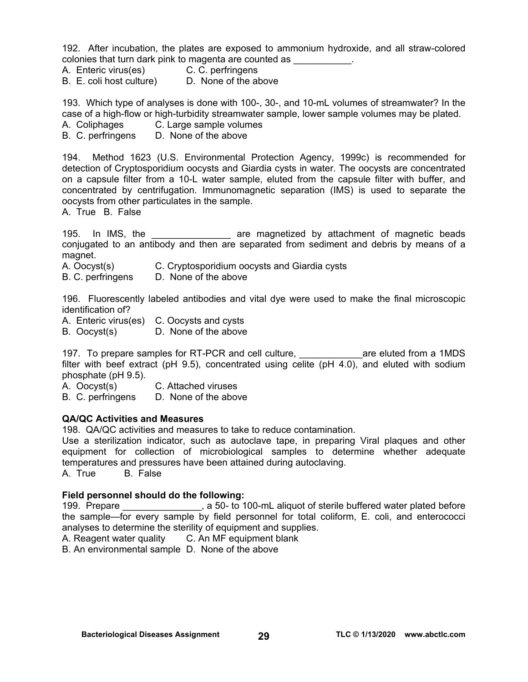192. After incubation, the plates are exposed to ammonium hydroxide, and all straw-colored colonies that turn dark pink to magenta are counted as \_\_\_\_\_\_\_\_\_\_\_.

- A. Enteric virus(es) C. C. perfringens
- B. E. coli host culture) D. None of the above

193. Which type of analyses is done with 100-, 30-, and 10-mL volumes of streamwater? In the case of a high-flow or high-turbidity streamwater sample, lower sample volumes may be plated.

A. Coliphages C. Large sample volumes

B. C. perfringens D. None of the above

194. Method 1623 (U.S. Environmental Protection Agency, 1999c) is recommended for detection of Cryptosporidium oocysts and Giardia cysts in water. The oocysts are concentrated on a capsule filter from a 10-L water sample, eluted from the capsule filter with buffer, and concentrated by centrifugation. Immunomagnetic separation (IMS) is used to separate the oocysts from other particulates in the sample.

A. True B. False

195. In IMS, the the same are magnetized by attachment of magnetic beads conjugated to an antibody and then are separated from sediment and debris by means of a magnet.

A. Oocyst(s) C. Cryptosporidium oocysts and Giardia cysts

B. C. perfringens D. None of the above

196. Fluorescently labeled antibodies and vital dye were used to make the final microscopic identification of?

A. Enteric virus(es) C. Oocysts and cysts

B. Oocyst(s) D. None of the above

197. To prepare samples for RT-PCR and cell culture, \_\_\_\_\_\_\_\_\_\_\_\_\_\_\_\_are eluted from a 1MDS filter with beef extract (pH 9.5), concentrated using celite (pH 4.0), and eluted with sodium phosphate (pH 9.5).

A. Oocyst(s) C. Attached viruses

B. C. perfringens D. None of the above

### **QA/QC Activities and Measures**

198. QA/QC activities and measures to take to reduce contamination.

Use a sterilization indicator, such as autoclave tape, in preparing Viral plaques and other equipment for collection of microbiological samples to determine whether adequate temperatures and pressures have been attained during autoclaving.

A. True B. False

### **Field personnel should do the following:**

199. Prepare **199.** Prepare **199.** A 50- to 100-mL aliquot of sterile buffered water plated before the sample—for every sample by field personnel for total coliform, E. coli, and enterococci analyses to determine the sterility of equipment and supplies.

A. Reagent water quality C. An MF equipment blank

B. An environmental sample D. None of the above